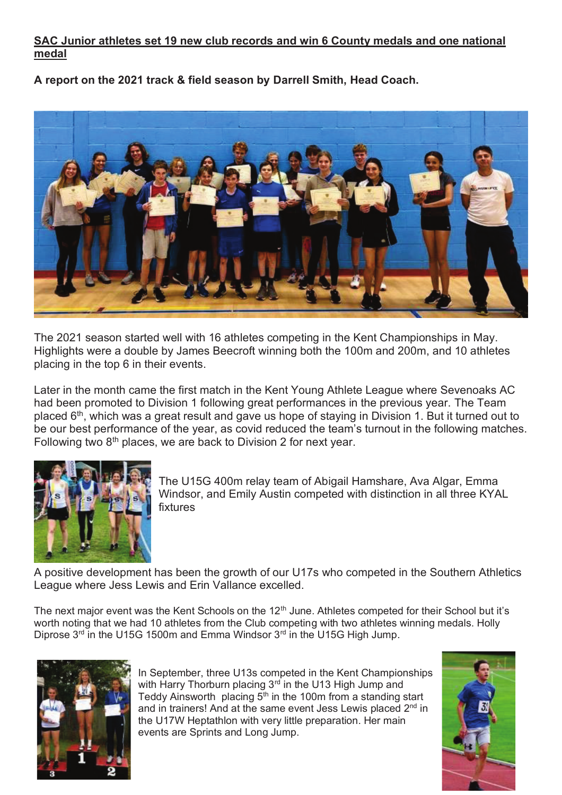## **SAC Junior athletes set 19 new club records and win 6 County medals and one national medal**

**A report on the 2021 track & field season by Darrell Smith, Head Coach.** 



The 2021 season started well with 16 athletes competing in the Kent Championships in May. Highlights were a double by James Beecroft winning both the 100m and 200m, and 10 athletes placing in the top 6 in their events.

Later in the month came the first match in the Kent Young Athlete League where Sevenoaks AC had been promoted to Division 1 following great performances in the previous year. The Team placed  $6<sup>th</sup>$ , which was a great result and gave us hope of staying in Division 1. But it turned out to be our best performance of the year, as covid reduced the team's turnout in the following matches. Following two  $8<sup>th</sup>$  places, we are back to Division 2 for next year.



The U15G 400m relay team of Abigail Hamshare, Ava Algar, Emma Windsor, and Emily Austin competed with distinction in all three KYAL fixtures

A positive development has been the growth of our U17s who competed in the Southern Athletics League where Jess Lewis and Erin Vallance excelled.

The next major event was the Kent Schools on the 12<sup>th</sup> June. Athletes competed for their School but it's worth noting that we had 10 athletes from the Club competing with two athletes winning medals. Holly Diprose  $3^{rd}$  in the U15G 1500m and Emma Windsor  $3^{rd}$  in the U15G High Jump.



In September, three U13s competed in the Kent Championships with Harry Thorburn placing 3<sup>rd</sup> in the U13 High Jump and Teddy Ainsworth placing  $5<sup>th</sup>$  in the 100m from a standing start and in trainers! And at the same event Jess Lewis placed 2<sup>nd</sup> in the U17W Heptathlon with very little preparation. Her main events are Sprints and Long Jump.